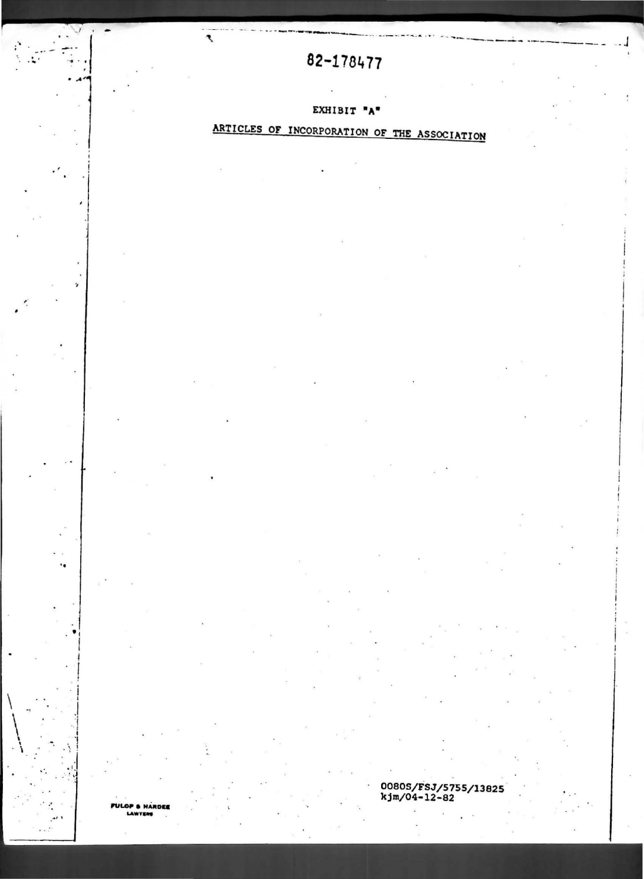### 82-178477

 $\mathbf{z}$ 

#### EXHIBIT "A"

# ARTICLES OF INCORPORATION OF THE ASSOCIATION

00805/FSJ/5755/13825<br>kjm/04-12-82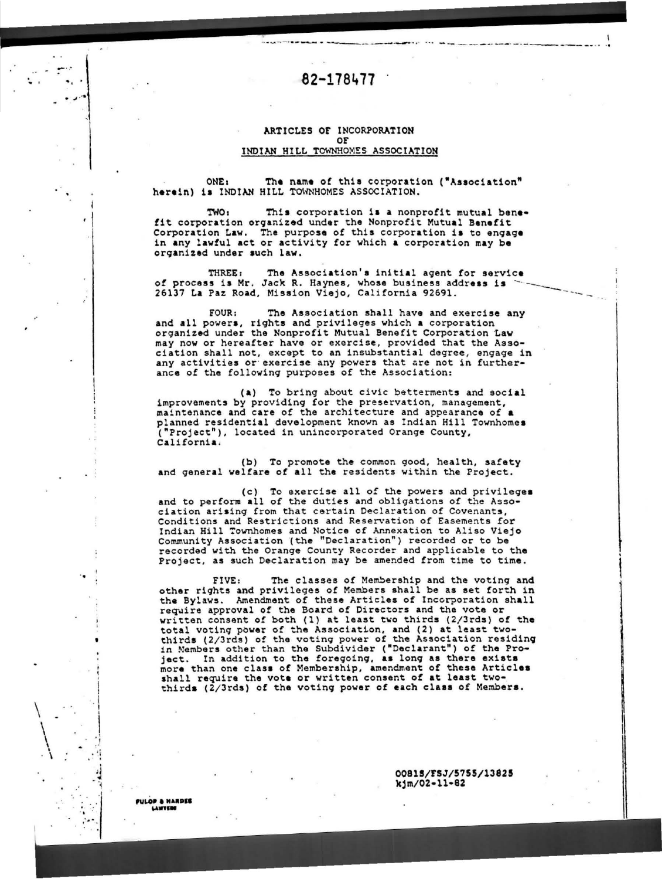### 82-178477

#### ARTICLES OF INCORPORATION OF INDIAN HILL TOWNHOMES ASSOCIATION

ONE: The name of this corporation ("Association" herein) is INDIAN HILL TOWNHOMES ASSOCIATION.

**TWO:** This corporation is a nonprofit mutual benefit corporation organized under the Nonprofit Mutual Benefit Corporation Law. The purpose of this corporation is to engage in any lawful act or activity for which a corporation may be organized under such law.

The Association's initial agent for service THREE: of process is Mr. Jack R. Haynes, whose business address is 26137 La Paz Road, Mission Viejo, California 92691.

 $FOUR:$ The Association shall have and exercise any and all powers, rights and privileges which a corporation organized under the Nonprofit Mutual Benefit Corporation Law may now or hereafter have or exercise, provided that the Association shall not, except to an insubstantial degree, engage in any activities or exercise any powers that are not in furtherance of the following purposes of the Association:

(a) To bring about civic betterments and social improvements by providing for the preservation, management, maintenance and care of the architecture and appearance of a planned residential development known as Indian Hill Townhomes ("Project"), located in unincorporated Orange County, California.

(b) To promote the common good, health, safety and general welfare of all the residents within the Project.

(c) To exercise all of the powers and privileges<br>and to perform all of the duties and obligations of the Association arising from that certain Declaration of Covenants, Conditions and Restrictions and Reservation of Easements for Indian Hill Townhomes and Notice of Annexation to Aliso Viejo Community Association (the "Declaration") recorded or to be recorded with the Orange County Recorder and applicable to the Project, as such Declaration may be amended from time to time.

The classes of Membership and the voting and FIVE: other rights and privileges of Members shall be as set forth in the Bylaws. Amendment of these Articles of Incorporation shall require approval of the Board of Directors and the vote or written consent of both (1) at least two thirds (2/3rds) of the total voting power of the Association, and (2) at least two-<br>thirds (2/3rds) of the voting power of the Association residing<br>in Members other than the Subdivider ("Declarant") of the Pro-In addition to the foregoing, as long as there exists ject. more than one class of Membership, amendment of these Articles shall require the vote or written consent of at least two-<br>thirds (2/3rds) of the voting power of each class of Members.

> 00815/FSJ/5755/13825 kjm/02-11-82

FULOP & NARDEE